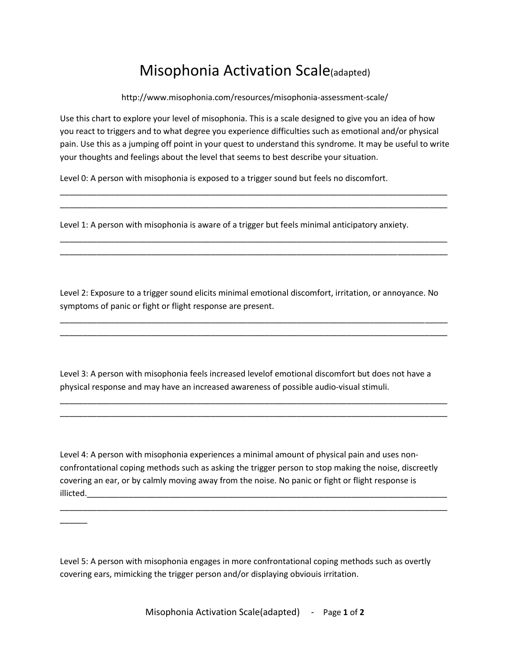## Misophonia Activation Scale(adapted)

http://www.misophonia.com/resources/misophonia-assessment-scale/

Use this chart to explore your level of misophonia. This is a scale designed to give you an idea of how you react to triggers and to what degree you experience difficulties such as emotional and/or physical pain. Use this as a jumping off point in your quest to understand this syndrome. It may be useful to write your thoughts and feelings about the level that seems to best describe your situation.

\_\_\_\_\_\_\_\_\_\_\_\_\_\_\_\_\_\_\_\_\_\_\_\_\_\_\_\_\_\_\_\_\_\_\_\_\_\_\_\_\_\_\_\_\_\_\_\_\_\_\_\_\_\_\_\_\_\_\_\_\_\_\_\_\_\_\_\_\_\_\_\_\_\_\_\_\_\_\_\_\_\_\_\_\_ \_\_\_\_\_\_\_\_\_\_\_\_\_\_\_\_\_\_\_\_\_\_\_\_\_\_\_\_\_\_\_\_\_\_\_\_\_\_\_\_\_\_\_\_\_\_\_\_\_\_\_\_\_\_\_\_\_\_\_\_\_\_\_\_\_\_\_\_\_\_\_\_\_\_\_\_\_\_\_\_\_\_\_\_\_

\_\_\_\_\_\_\_\_\_\_\_\_\_\_\_\_\_\_\_\_\_\_\_\_\_\_\_\_\_\_\_\_\_\_\_\_\_\_\_\_\_\_\_\_\_\_\_\_\_\_\_\_\_\_\_\_\_\_\_\_\_\_\_\_\_\_\_\_\_\_\_\_\_\_\_\_\_\_\_\_\_\_\_\_\_ \_\_\_\_\_\_\_\_\_\_\_\_\_\_\_\_\_\_\_\_\_\_\_\_\_\_\_\_\_\_\_\_\_\_\_\_\_\_\_\_\_\_\_\_\_\_\_\_\_\_\_\_\_\_\_\_\_\_\_\_\_\_\_\_\_\_\_\_\_\_\_\_\_\_\_\_\_\_\_\_\_\_\_\_\_

Level 0: A person with misophonia is exposed to a trigger sound but feels no discomfort.

Level 1: A person with misophonia is aware of a trigger but feels minimal anticipatory anxiety.

Level 2: Exposure to a trigger sound elicits minimal emotional discomfort, irritation, or annoyance. No symptoms of panic or fight or flight response are present.

\_\_\_\_\_\_\_\_\_\_\_\_\_\_\_\_\_\_\_\_\_\_\_\_\_\_\_\_\_\_\_\_\_\_\_\_\_\_\_\_\_\_\_\_\_\_\_\_\_\_\_\_\_\_\_\_\_\_\_\_\_\_\_\_\_\_\_\_\_\_\_\_\_\_\_\_\_\_\_\_\_\_\_\_\_ \_\_\_\_\_\_\_\_\_\_\_\_\_\_\_\_\_\_\_\_\_\_\_\_\_\_\_\_\_\_\_\_\_\_\_\_\_\_\_\_\_\_\_\_\_\_\_\_\_\_\_\_\_\_\_\_\_\_\_\_\_\_\_\_\_\_\_\_\_\_\_\_\_\_\_\_\_\_\_\_\_\_\_\_\_

Level 3: A person with misophonia feels increased levelof emotional discomfort but does not have a physical response and may have an increased awareness of possible audio-visual stimuli.

\_\_\_\_\_\_\_\_\_\_\_\_\_\_\_\_\_\_\_\_\_\_\_\_\_\_\_\_\_\_\_\_\_\_\_\_\_\_\_\_\_\_\_\_\_\_\_\_\_\_\_\_\_\_\_\_\_\_\_\_\_\_\_\_\_\_\_\_\_\_\_\_\_\_\_\_\_\_\_\_\_\_\_\_\_ \_\_\_\_\_\_\_\_\_\_\_\_\_\_\_\_\_\_\_\_\_\_\_\_\_\_\_\_\_\_\_\_\_\_\_\_\_\_\_\_\_\_\_\_\_\_\_\_\_\_\_\_\_\_\_\_\_\_\_\_\_\_\_\_\_\_\_\_\_\_\_\_\_\_\_\_\_\_\_\_\_\_\_\_\_

Level 4: A person with misophonia experiences a minimal amount of physical pain and uses nonconfrontational coping methods such as asking the trigger person to stop making the noise, discreetly covering an ear, or by calmly moving away from the noise. No panic or fight or flight response is illicted.

\_\_\_\_\_\_\_\_\_\_\_\_\_\_\_\_\_\_\_\_\_\_\_\_\_\_\_\_\_\_\_\_\_\_\_\_\_\_\_\_\_\_\_\_\_\_\_\_\_\_\_\_\_\_\_\_\_\_\_\_\_\_\_\_\_\_\_\_\_\_\_\_\_\_\_\_\_\_\_\_\_\_\_\_\_

Level 5: A person with misophonia engages in more confrontational coping methods such as overtly covering ears, mimicking the trigger person and/or displaying obviouis irritation.

 $\overline{\phantom{a}}$